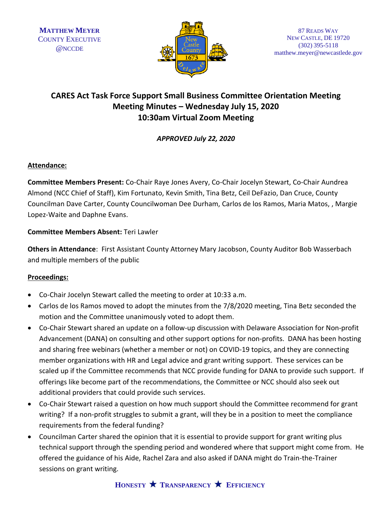

## **CARES Act Task Force Support Small Business Committee Orientation Meeting Meeting Minutes – Wednesday July 15, 2020 10:30am Virtual Zoom Meeting**

*APPROVED July 22, 2020*

### **Attendance:**

**Committee Members Present:** Co-Chair Raye Jones Avery, Co-Chair Jocelyn Stewart, Co-Chair Aundrea Almond (NCC Chief of Staff), Kim Fortunato, Kevin Smith, Tina Betz, Ceil DeFazio, Dan Cruce, County Councilman Dave Carter, County Councilwoman Dee Durham, Carlos de los Ramos, Maria Matos, , Margie Lopez-Waite and Daphne Evans.

### **Committee Members Absent:** Teri Lawler

**Others in Attendance**: First Assistant County Attorney Mary Jacobson, County Auditor Bob Wasserbach and multiple members of the public

### **Proceedings:**

- Co-Chair Jocelyn Stewart called the meeting to order at 10:33 a.m.
- Carlos de los Ramos moved to adopt the minutes from the 7/8/2020 meeting, Tina Betz seconded the motion and the Committee unanimously voted to adopt them.
- Co-Chair Stewart shared an update on a follow-up discussion with Delaware Association for Non-profit Advancement (DANA) on consulting and other support options for non-profits. DANA has been hosting and sharing free webinars (whether a member or not) on COVID-19 topics, and they are connecting member organizations with HR and Legal advice and grant writing support. These services can be scaled up if the Committee recommends that NCC provide funding for DANA to provide such support. If offerings like become part of the recommendations, the Committee or NCC should also seek out additional providers that could provide such services.
- Co-Chair Stewart raised a question on how much support should the Committee recommend for grant writing? If a non-profit struggles to submit a grant, will they be in a position to meet the compliance requirements from the federal funding?
- Councilman Carter shared the opinion that it is essential to provide support for grant writing plus technical support through the spending period and wondered where that support might come from. He offered the guidance of his Aide, Rachel Zara and also asked if DANA might do Train-the-Trainer sessions on grant writing.

# **HONESTY TRANSPARENCY EFFICIENCY**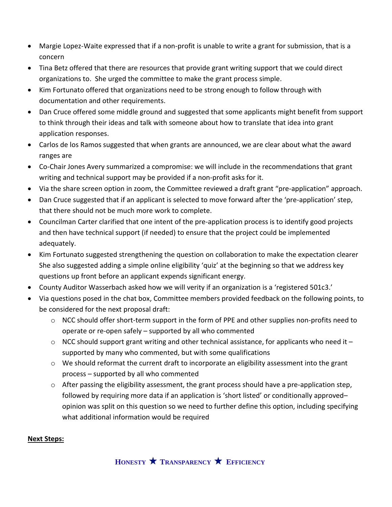- Margie Lopez-Waite expressed that if a non-profit is unable to write a grant for submission, that is a concern
- Tina Betz offered that there are resources that provide grant writing support that we could direct organizations to. She urged the committee to make the grant process simple.
- Kim Fortunato offered that organizations need to be strong enough to follow through with documentation and other requirements.
- Dan Cruce offered some middle ground and suggested that some applicants might benefit from support to think through their ideas and talk with someone about how to translate that idea into grant application responses.
- Carlos de los Ramos suggested that when grants are announced, we are clear about what the award ranges are
- Co-Chair Jones Avery summarized a compromise: we will include in the recommendations that grant writing and technical support may be provided if a non-profit asks for it.
- Via the share screen option in zoom, the Committee reviewed a draft grant "pre-application" approach.
- Dan Cruce suggested that if an applicant is selected to move forward after the 'pre-application' step, that there should not be much more work to complete.
- Councilman Carter clarified that one intent of the pre-application process is to identify good projects and then have technical support (if needed) to ensure that the project could be implemented adequately.
- Kim Fortunato suggested strengthening the question on collaboration to make the expectation clearer She also suggested adding a simple online eligibility 'quiz' at the beginning so that we address key questions up front before an applicant expends significant energy.
- County Auditor Wasserbach asked how we will verity if an organization is a 'registered 501c3.'
- Via questions posed in the chat box, Committee members provided feedback on the following points, to be considered for the next proposal draft:
	- o NCC should offer short-term support in the form of PPE and other supplies non-profits need to operate or re-open safely – supported by all who commented
	- $\circ$  NCC should support grant writing and other technical assistance, for applicants who need it  $$ supported by many who commented, but with some qualifications
	- $\circ$  We should reformat the current draft to incorporate an eligibility assessment into the grant process – supported by all who commented
	- $\circ$  After passing the eligibility assessment, the grant process should have a pre-application step, followed by requiring more data if an application is 'short listed' or conditionally approved– opinion was split on this question so we need to further define this option, including specifying what additional information would be required

### **Next Steps:**